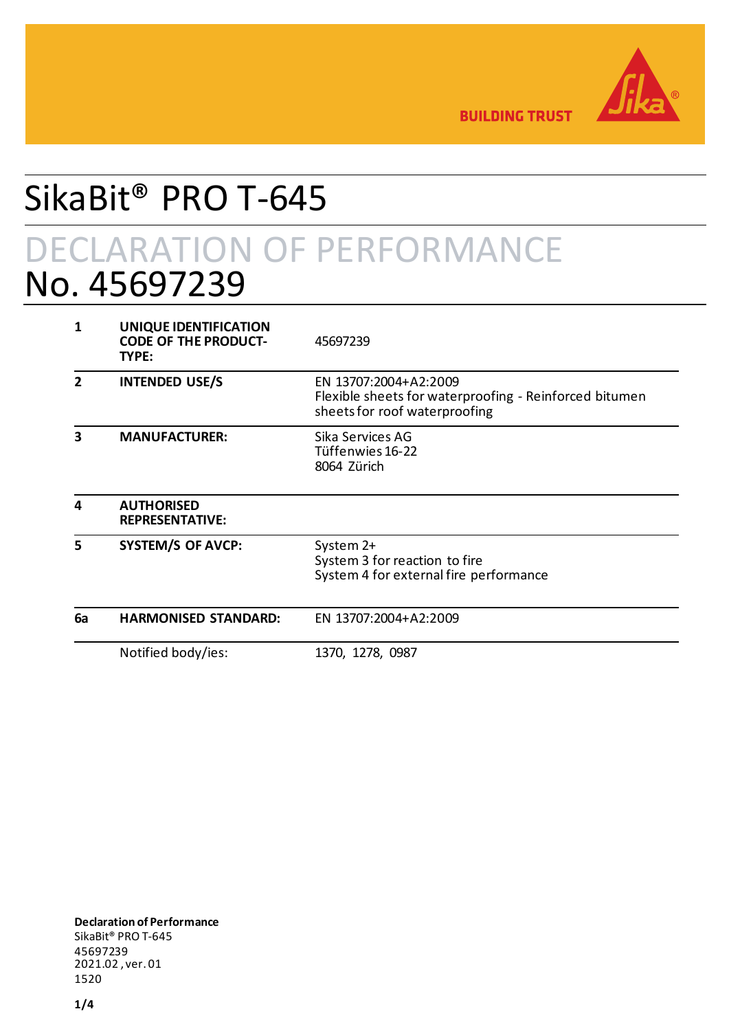

**BUILDING TRUST** 

## SikaBit® PRO T-645

## DECLARATION OF PERFORMANCE No. 45697239

| 1            | UNIQUE IDENTIFICATION<br><b>CODE OF THE PRODUCT-</b><br>TYPE: | 45697239                                                                                                         |
|--------------|---------------------------------------------------------------|------------------------------------------------------------------------------------------------------------------|
| $\mathbf{2}$ | <b>INTENDED USE/S</b>                                         | EN 13707:2004+A2:2009<br>Flexible sheets for waterproofing - Reinforced bitumen<br>sheets for roof waterproofing |
| 3            | <b>MANUFACTURER:</b>                                          | Sika Services AG<br>Tüffenwies 16-22<br>8064 Zürich                                                              |
| 4            | <b>AUTHORISED</b><br><b>REPRESENTATIVE:</b>                   |                                                                                                                  |
| 5            | <b>SYSTEM/S OF AVCP:</b>                                      | System 2+<br>System 3 for reaction to fire<br>System 4 for external fire performance                             |
| 6a           | <b>HARMONISED STANDARD:</b>                                   | EN 13707:2004+A2:2009                                                                                            |
|              | Notified body/ies:                                            | 1370, 1278, 0987                                                                                                 |

**Declaration of Performance** SikaBit® PRO T-645 45697239 2021.02 , ver. 01 1520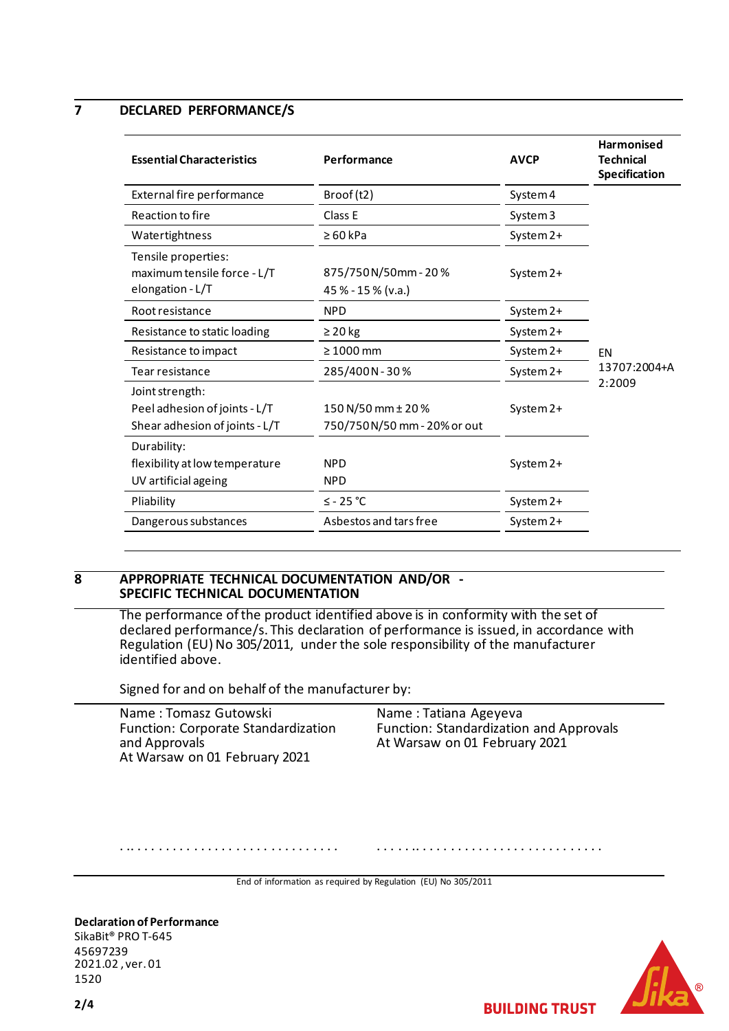#### **7 DECLARED PERFORMANCE/S**

| <b>Essential Characteristics</b>                                                   | Performance                                       | <b>AVCP</b> | <b>Harmonised</b><br><b>Technical</b><br>Specification |
|------------------------------------------------------------------------------------|---------------------------------------------------|-------------|--------------------------------------------------------|
| External fire performance                                                          | Broof(t2)                                         | System 4    |                                                        |
| Reaction to fire                                                                   | Class E                                           | System 3    |                                                        |
| Watertightness                                                                     | $\geq 60$ kPa                                     | System 2+   | <b>EN</b><br>13707:2004+A<br>2:2009                    |
| Tensile properties:<br>maximum tensile force - L/T<br>elongation - L/T             | 875/750N/50mm-20%<br>45 % - 15 % (v.a.)           | System 2+   |                                                        |
| Root resistance                                                                    | <b>NPD</b>                                        | System 2+   |                                                        |
| Resistance to static loading                                                       | $\geq$ 20 kg                                      | System 2+   |                                                        |
| Resistance to impact                                                               | $\geq 1000$ mm                                    | System 2+   |                                                        |
| Tear resistance                                                                    | 285/400N-30%                                      | System 2+   |                                                        |
| Joint strength:<br>Peel adhesion of joints - L/T<br>Shear adhesion of joints - L/T | 150 N/50 mm ± 20 %<br>750/750N/50 mm - 20% or out | System 2+   |                                                        |
| Durability:<br>flexibility at low temperature<br>UV artificial ageing              | <b>NPD</b><br><b>NPD</b>                          | System 2+   |                                                        |
| Pliability                                                                         | $≤$ - 25 °C                                       | System 2+   |                                                        |
| Dangerous substances                                                               | Asbestos and tars free                            | System 2+   |                                                        |
|                                                                                    |                                                   |             |                                                        |

#### **8 APPROPRIATE TECHNICAL DOCUMENTATION AND/OR - SPECIFIC TECHNICAL DOCUMENTATION**

The performance of the product identified above is in conformity with the set of declared performance/s. This declaration of performance is issued, in accordance with Regulation (EU) No 305/2011, under the sole responsibility of the manufacturer identified above.

Signed for and on behalf of the manufacturer by:

Name : Tomasz Gutowski Function: Corporate Standardization and Approvals At Warsaw on 01 February 2021

. .. . . . . . . . . . . . . . . . . . . . . . . . . . . . . .

Name : Tatiana Ageyeva Function: Standardization and Approvals At Warsaw on 01 February 2021

. . . . . .. . . . . . . . . . . . . . . . . . . . . . . . . . .

**BUILDING TRUST** 

End of information as required by Regulation (EU) No 305/2011

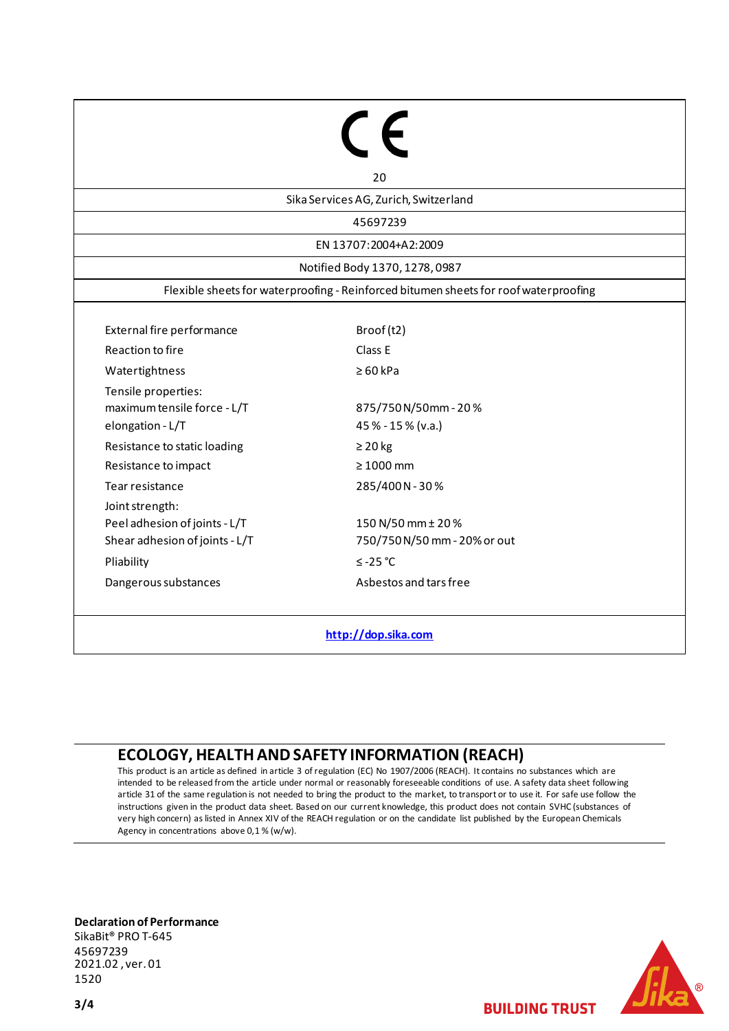# $\epsilon$

Sika Services AG, Zurich, Switzerland

20

45697239

EN 13707:2004+A2:2009

Notified Body 1370, 1278, 0987

Flexible sheets for waterproofing - Reinforced bitumen sheets for roof waterproofing

External fire performance Broof (t2) Reaction to fire **Class E** Watertightness ≥ 60 kPa Tensile properties: maximum tensile force - L/T elongation - L/T Resistance to static loading  $\geq 20$  kg Resistance to impact ≥ 1000 mm Tear resistance 285/400 N - 30 % Joint strength: Peel adhesion of joints - L/T Shear adhesion of joints - L/T Pliability ≤ -25 °C

750/750 N/50 mm - 20% or out Dangerous substances and tars free

150 N/50 mm ± 20 %

875/750 N/50mm - 20 %

45 % - 15 % (v.a.)

**[http://dop.sika.com](http://dop.sika.com/)**

### **ECOLOGY, HEALTH AND SAFETY INFORMATION (REACH)**

This product is an article as defined in article 3 of regulation (EC) No 1907/2006 (REACH). It contains no substances which are intended to be released from the article under normal or reasonably foreseeable conditions of use. A safety data sheet following article 31 of the same regulation is not needed to bring the product to the market, to transport or to use it. For safe use follow the instructions given in the product data sheet. Based on our current knowledge, this product does not contain SVHC (substances of very high concern) as listed in Annex XIV of the REACH regulation or on the candidate list published by the European Chemicals Agency in concentrations above 0,1 % (w/w).

**Declaration of Performance**

SikaBit® PRO T-645 45697239 2021.02 , ver. 01 1520